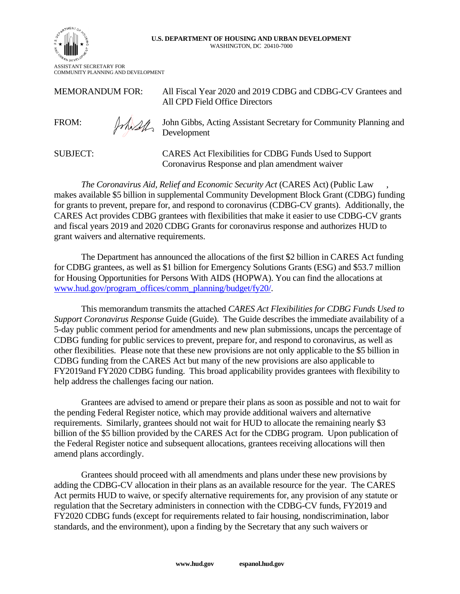## **U.S. DEPARTMENT OF HOUSING AND URBAN DEVELOPMENT**  WASHINGTON, DC 20410-7000



MEMORANDUM FOR: All Fiscal Year 2020 and 2019 CDBG and CDBG-CV Grantees and All CPD Field Office Directors



FROM:  $\mathbb{R}$  John Gibbs, Acting Assistant Secretary for Community Planning and Development

SUBJECT: CARES Act Flexibilities for CDBG Funds Used to Support Coronavirus Response and plan amendment waiver

*The Coronavirus Aid, Relief and Economic Security Act* (CARES Act) (Public Law , makes available \$5 billion in supplemental Community Development Block Grant (CDBG) funding for grants to prevent, prepare for, and respond to coronavirus (CDBG-CV grants). Additionally, the CARES Act provides CDBG grantees with flexibilities that make it easier to use CDBG-CV grants and fiscal years 2019 and 2020 CDBG Grants for coronavirus response and authorizes HUD to grant waivers and alternative requirements.

The Department has announced the allocations of the first \$2 billion in CARES Act funding for CDBG grantees, as well as \$1 billion for Emergency Solutions Grants (ESG) and \$53.7 million for Housing Opportunities for Persons With AIDS (HOPWA). You can find the allocations at [www.hud.gov/program\\_offices/comm\\_planning/budget/fy20/.](https://www.hud.gov/program_offices/comm_planning/budget/fy20/)

This memorandum transmits the attached *CARES Act Flexibilities for CDBG Funds Used to Support Coronavirus Response* Guide (Guide). The Guide describes the immediate availability of a 5-day public comment period for amendments and new plan submissions, uncaps the percentage of CDBG funding for public services to prevent, prepare for, and respond to coronavirus, as well as other flexibilities. Please note that these new provisions are not only applicable to the \$5 billion in CDBG funding from the CARES Act but many of the new provisions are also applicable to FY2019and FY2020 CDBG funding. This broad applicability provides grantees with flexibility to help address the challenges facing our nation.

Grantees are advised to amend or prepare their plans as soon as possible and not to wait for the pending Federal Register notice, which may provide additional waivers and alternative requirements. Similarly, grantees should not wait for HUD to allocate the remaining nearly \$3 billion of the \$5 billion provided by the CARES Act for the CDBG program. Upon publication of the Federal Register notice and subsequent allocations, grantees receiving allocations will then amend plans accordingly.

Grantees should proceed with all amendments and plans under these new provisions by adding the CDBG-CV allocation in their plans as an available resource for the year. The CARES Act permits HUD to waive, or specify alternative requirements for, any provision of any statute or regulation that the Secretary administers in connection with the CDBG-CV funds, FY2019 and FY2020 CDBG funds (except for requirements related to fair housing, nondiscrimination, labor standards, and the environment), upon a finding by the Secretary that any such waivers or